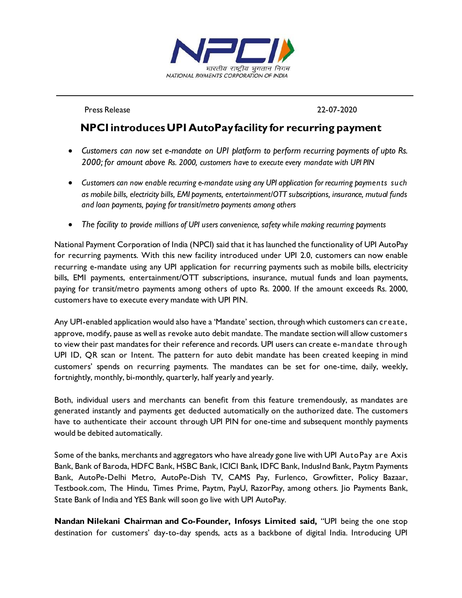

Press Release 22-07-2020

## **NPCIintroduces UPI AutoPayfacility for recurring payment**

- *Customers can now set e-mandate on UPI platform to perform recurring payments of upto Rs. 2000; for amount above Rs. 2000, customers have to execute every mandate with UPI PIN*
- *Customers can now enable recurring e-mandate using any UPI application for recurring payments such as mobile bills, electricity bills, EMI payments, entertainment/OTT subscriptions, insurance, mutual funds and loan payments, paying for transit/metro payments among others*
- *The facility to provide millions of UPI users convenience, safety while making recurring payments*

National Payment Corporation of India (NPCI) said that it haslaunched the functionality of UPI AutoPay for recurring payments. With this new facility introduced under UPI 2.0, customers can now enable recurring e-mandate using any UPI application for recurring payments such as mobile bills, electricity bills, EMI payments, entertainment/OTT subscriptions, insurance, mutual funds and loan payments, paying for transit/metro payments among others of upto Rs. 2000. If the amount exceeds Rs. 2000, customers have to execute every mandate with UPI PIN.

Any UPI-enabled application would also have a 'Mandate' section, through which customers can create, approve, modify, pause as well as revoke auto debit mandate. The mandate section will allow customers to view their past mandates for their reference and records. UPI users can create e-mandate through UPI ID, QR scan or Intent. The pattern for auto debit mandate has been created keeping in mind customers' spends on recurring payments. The mandates can be set for one-time, daily, weekly, fortnightly, monthly, bi-monthly, quarterly, half yearly and yearly.

Both, individual users and merchants can benefit from this feature tremendously, as mandates are generated instantly and payments get deducted automatically on the authorized date. The customers have to authenticate their account through UPI PIN for one-time and subsequent monthly payments would be debited automatically.

Some of the banks, merchants and aggregators who have already gone live with UPI AutoPay are Axis Bank, Bank of Baroda, HDFC Bank, HSBC Bank, ICICI Bank, IDFC Bank, IndusInd Bank, Paytm Payments Bank, AutoPe-Delhi Metro, AutoPe-Dish TV, CAMS Pay, Furlenco, Growfitter, Policy Bazaar, Testbook.com, The Hindu, Times Prime, Paytm, PayU, RazorPay, among others. Jio Payments Bank, State Bank of India and YES Bank will soon go live with UPI AutoPay.

**Nandan Nilekani Chairman and Co-Founder, Infosys Limited said,** "UPI being the one stop destination for customers' day-to-day spends, acts as a backbone of digital India. Introducing UPI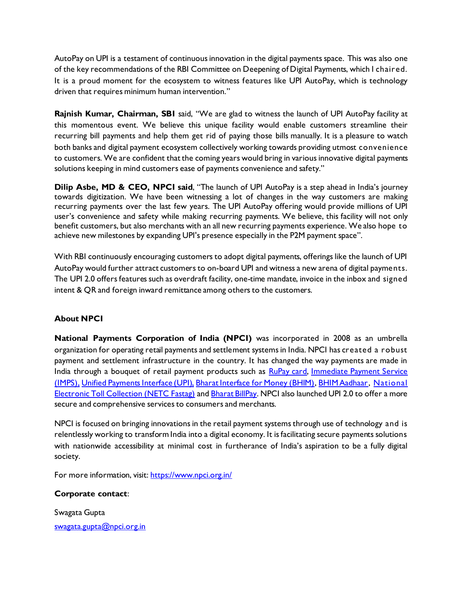AutoPay on UPI is a testament of continuous innovation in the digital payments space. This was also one of the key recommendations of the RBI Committee on Deepening of Digital Payments, which I chaired. It is a proud moment for the ecosystem to witness features like UPI AutoPay, which is technology driven that requires minimum human intervention."

**Rajnish Kumar, Chairman, SBI** said, "We are glad to witness the launch of UPI AutoPay facility at this momentous event. We believe this unique facility would enable customers streamline their recurring bill payments and help them get rid of paying those bills manually. It is a pleasure to watch both banks and digital payment ecosystem collectively working towards providing utmost convenience to customers. We are confident that the coming years would bring in various innovative digital payments solutions keeping in mind customers ease of payments convenience and safety."

**Dilip Asbe, MD & CEO, NPCI said**, "The launch of UPI AutoPay is a step ahead in India's journey towards digitization. We have been witnessing a lot of changes in the way customers are making recurring payments over the last few years. The UPI AutoPay offering would provide millions of UPI user's convenience and safety while making recurring payments. We believe, this facility will not only benefit customers, but also merchants with an all new recurring payments experience. We also hope to achieve new milestones by expanding UPI's presence especially in the P2M payment space".

With RBI continuously encouraging customers to adopt digital payments, offerings like the launch of UPI AutoPay would further attract customers to on-board UPI and witness a new arena of digital payments. The UPI 2.0 offers features such as overdraft facility, one-time mandate, invoice in the inbox and signed intent & QR and foreign inward remittance among others to the customers.

## **About NPCI**

**National Payments Corporation of India (NPCI)** was incorporated in 2008 as an umbrella organization for operating retail payments and settlement systems in India. NPCI has created a robust payment and settlement infrastructure in the country. It has changed the way payments are made in India through a bouquet of retail payment products such as [RuPay card,](https://www.npci.org.in/product-overview/rupay-product-overview) Immediate Payment Service [\(IMPS\),](https://www.npci.org.in/product-overview/imps-product-overview) [Unified Payments Interface \(UPI\),](https://www.npci.org.in/product-overview/upi-product-overview) [Bharat Interface for Money \(BHIM\), B](https://www.npci.org.in/product-overview/bhim-product-overview)[HIM Aadhaar,](https://www.npci.org.in/product-overview/bhim-aadhaar) [National](https://www.npci.org.in/netc)  [Electronic Toll Collection \(NETC](https://www.npci.org.in/netc) Fastag) an[d Bharat BillPay.](https://www.npci.org.in/product-overview/bharat-billpay-product-overview) NPCI also launched UPI 2.0 to offer a more secure and comprehensive services to consumers and merchants.

NPCI is focused on bringing innovations in the retail payment systems through use of technology and is relentlessly working to transform India into a digital economy. It is facilitating secure payments solutions with nationwide accessibility at minimal cost in furtherance of India's aspiration to be a fully digital society.

For more information, visit: <https://www.npci.org.in/>

## **Corporate contact**:

Swagata Gupta [swagata.gupta@npci.org.in](mailto:swagata.gupta@npci.org.in/)